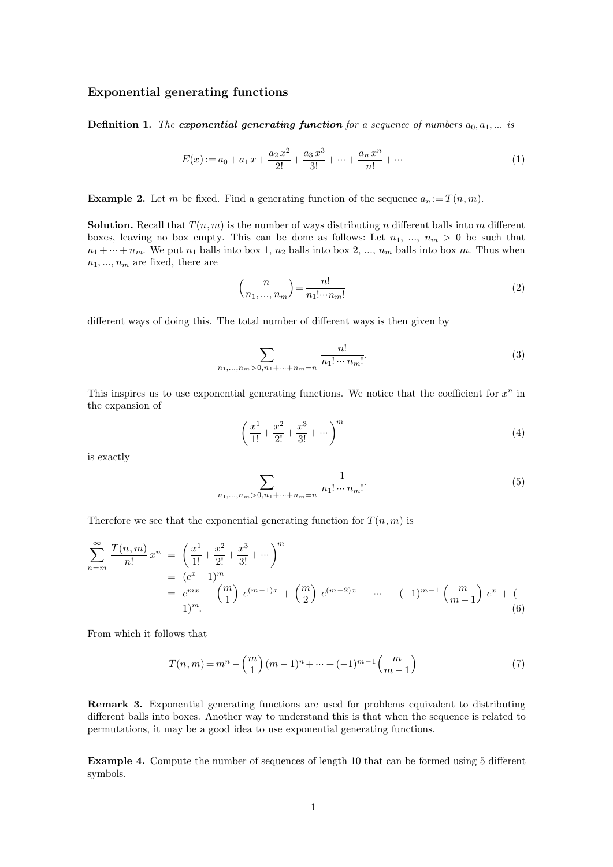## **Exponential generating functions**

**Definition 1.** *The exponential generating function for a sequence of numbers*  $a_0, a_1, \ldots$  *is* 

$$
E(x) := a_0 + a_1 x + \frac{a_2 x^2}{2!} + \frac{a_3 x^3}{3!} + \dots + \frac{a_n x^n}{n!} + \dots
$$
 (1)

 $E(x) := a_0 + a_1 x + \frac{a_2 x^2}{2!} + \frac{a_3 x^3}{3!} + \dots + \frac{a_n x^n}{n!} + \dots$  (1)<br> **Example 2.** Let *m* be fixed. Find a generating function of the sequence  $a_n := T(n, m)$ .<br> **Solution.** Recall that  $T(n, m)$  is the number of ways distributing **Example 2.** Let *m* be fixed. Find a generating function of the sequence  $a_n := T(n, m)$ .<br>**Solution.** Recall that  $T(n, m)$  is the number of ways distributing *n* different balls into *m* different boxes, leaving no box empty. **Example 2.** Let *m* be fixed. Find a generating function of the sequence  $a_n := T(n, m)$ .<br>**Solution.** Recall that  $T(n, m)$  is the number of ways distributing *n* different balls into *m* different boxes, leaving no box empty. **Solution.** Recall that  $T(n, m)$  is the boxes, leaving no box empty. This  $n_1 + \cdots + n_m$ . We put  $n_1$  balls into b  $n_1, \ldots, n_m$  are fixed, there are is can be done as fo<br>box 1,  $n_2$  balls into be<br> $\binom{n}{n_1, ..., n_m} = \frac{n!}{n_1! \cdots n_m}$ 

$$
n_1, ..., n_m
$$
 are fixed, there are  
\n
$$
\binom{n}{n_1, ..., n_m} = \frac{n!}{n_1! \cdots n_m!}
$$
\n(2)  
\ndifferent ways of doing this. The total number of different ways is then given by

$$
\sum_{n_1,\dots,n_m>0,n_1+\dots+n_m=n} \frac{n!}{n_1!\cdots n_m!}.
$$
 (3)

 $\sum_{n_1,\ldots,n_m>0,n_1+\cdots+n_m=n}\frac{n!}{n_1!\cdots n_m!}. \eqno{(3)}$  This inspires us to use exponential generating functions. We notice that the coefficient for  $x^n$  in the expansion of  $n \in \mathbb{R}$  in This inspires us to use  $\epsilon$  the expansion of the expansion of  $$\rm \,s$$  exactly

$$
\left(\frac{x^1}{1!} + \frac{x^2}{2!} + \frac{x^3}{3!} + \dotsb\right)^m
$$
\n(4)

$$
\sum_{n_1,\dots,n_m>0,n_1+\dots+n_m=n} \frac{1}{n_1! \cdots n_m!}.
$$
\nTherefore we see that the exponential generating function for  $T(n,m)$  is

\n
$$
\sum_{n=1}^{\infty} \frac{1}{n_1! \cdots n_m!}.
$$

Therefore we see that the exponential generating function for 
$$
T(n, m)
$$
 is  
\n
$$
\sum_{n=m}^{\infty} \frac{T(n, m)}{n!} x^n = \left(\frac{x^1}{1!} + \frac{x^2}{2!} + \frac{x^3}{3!} + \cdots\right)^m
$$
\n
$$
= (e^x - 1)^m
$$
\n
$$
= e^{mx} - {m \choose 1} e^{(m-1)x} + {m \choose 2} e^{(m-2)x} - \cdots + (-1)^{m-1} {m \choose m-1} e^x + (-1)^m
$$
\nFrom which it follows that

From which it follows that

1)<sup>m</sup>. (6)  
\nrows that  
\n
$$
T(n,m) = m^{n} - {m \choose 1} (m-1)^{n} + \dots + (-1)^{m-1} {m \choose m-1}
$$
 (7)

**Remark 3.** Exponential generating functions are used for problems equivalent to distributing different balls into boxes. Another way to understand this is that when the sequence is related to **different 8.** Exponential generating functions are used for problems equivalent to distributing different balls into boxes. Another way to understand this is that when the sequence is related to permutations, it may be a **Remark 3.** Exponential generating functions are used for problems equivalent to distributing different balls into boxes. Another way to understand this is that when the sequence is related to permutations, it may be a goo

**Example 4.** Compute the number of sequences of length 10 that can be formed using 5 different symbols.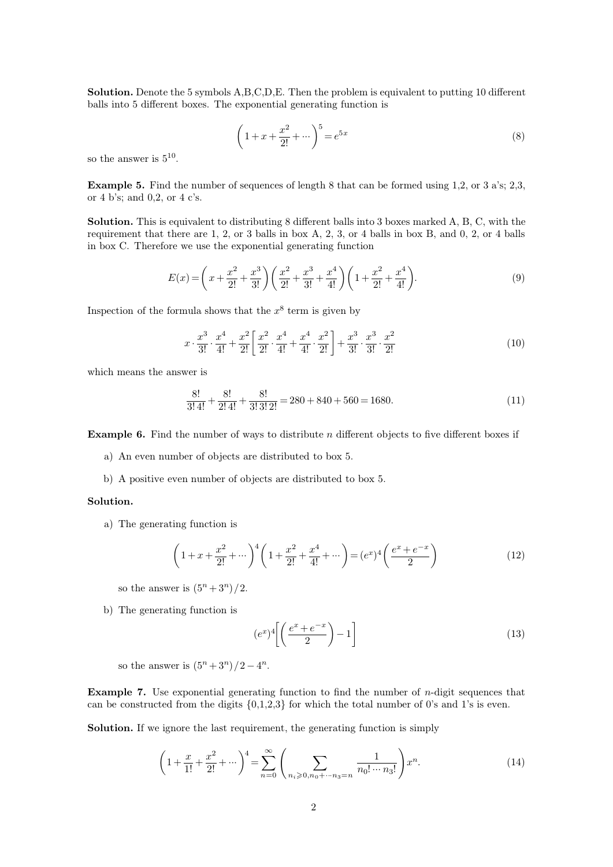**Solution.** Denote the 5 symbols  $A,B,C,D,E$ . Then the problem is equivalent to putting 10 different balls into 5 different boxes. The exponential generating function is **Solution.** Denote the 5 symbols  $A, B, C, D, E$ . Then the problem is equivalent balls into 5 different boxes. The exponential generating function is solution. Denote the  $\sigma$   $\sigma$ <sub>*s*</sub>, balls into 5 different boxes so the answer is  $5^{10}$ .

A,B,C,D,E. Then the problem is equivalent to putting 10 different exponential generating function is  
\n
$$
\left(1 + x + \frac{x^2}{2!} + \cdots \right)^5 = e^{5x}
$$
\n(8)

10 .

 $\left(1+x+\frac{x^2}{2!}+\cdots\right)^5 = e^{5x}$  (8)<br> **Example 5.** Find the number of sequences of length 8 that can be formed using 1,2, or 3 a's; 2,3,<br>
or 4 b's; and 0,2, or 4 c's. so the answer is  $5^{10}$ .<br> **Example 5.** Find the number of 4 b's; and 0,2, or 4 c's.

**Example 5.** Find the number of sequences of length 8 that can be formed using 1,2, or 3 a's; 2,3, or 4 b's; and 0,2, or 4 c's.<br>**Solution.** This is equivalent to distributing 8 different balls into 3 boxes marked A, B, C, **Example 5.** Find the number of sequences of length 8 that can be formed using 1,2, or 3 a's; 2,3, or 4 b's; and 0,2, or 4 c's.<br> **Solution.** This is equivalent to distributing 8 different balls into 3 boxes marked A, B, C **Example 5.** Find the number of sequences of length 8 that can be forme<br>or 4 b's; and 0,2, or 4 c's.<br>**Solution.** This is equivalent to distributing 8 different balls into 3 boxes r<br>requirement that there are 1, 2, or 3 ba requirement that there are  $1, 2,$  or  $3$  balls in box  $A, 2, 3,$  or  $4$  balls in box  $B$ , and  $0, 2,$  or  $4$  balls in box  $C$ . Therefore we use the exponential generating function

$$
E(x) = \left(x + \frac{x^2}{2!} + \frac{x^3}{3!}\right) \left(\frac{x^2}{2!} + \frac{x^3}{3!} + \frac{x^4}{4!}\right) \left(1 + \frac{x^2}{2!} + \frac{x^4}{4!}\right).
$$
\nInspection of the formula shows that the  $x^8$  term is given by

\n
$$
E(x) = \left(x + \frac{x^2}{2!} + \frac{x^3}{3!}\right) \left(\frac{x^2}{2!} + \frac{x^3}{3!} + \frac{x^4}{4!}\right) \left(1 + \frac{x^2}{2!} + \frac{x^4}{4!}\right).
$$
\n(9)

 $^8$  term i

Inspection of the formula shows that the 
$$
x^8
$$
 term is given by  
\n
$$
x \cdot \frac{x^3}{3!} \cdot \frac{x^4}{4!} + \frac{x^2}{2!} \left[ \frac{x^2}{2!} \cdot \frac{x^4}{4!} + \frac{x^4}{4!} \cdot \frac{x^2}{2!} \right] + \frac{x^3}{3!} \cdot \frac{x^3}{3!} \cdot \frac{x^2}{2!}
$$
\nwhich means the answer is

8! 3! 4! <sup>+</sup> 8! 2! 4! <sup>+</sup> 8! 3! 3! 2! <sup>=</sup> <sup>280</sup> <sup>+</sup> <sup>840</sup> <sup>+</sup> <sup>560</sup> <sup>=</sup> <sup>1680</sup>*:* (11) **Example 6.** Find the number of ways to distribute *<sup>n</sup>* dierent objects to ve dierent boxes if a) An even number of objects are distributed to box <sup>5</sup>. b) A positive even number of objects are distributed to box 5.

- 
- b) A positive even number of objects are distributed to box 5.<br> **lution.**<br>
a) The generating function is

## **Solution.**

ution.

\na) The generating function is

\n
$$
\left(1 + x + \frac{x^2}{2!} + \cdots \right)^4 \left(1 + \frac{x^2}{2!} + \frac{x^4}{4!} + \cdots \right) = (e^x)^4 \left(\frac{e^x + e^{-x}}{2}\right)
$$
\nso the answer is  $(5^n + 3^n)/2$ .

\nb) The generating function is

\n
$$
\left(\frac{x}{2!} \left(\frac{e^x + e^{-x}}{2}\right) - 1\right)
$$
\n(12)

The generating function is  
\n
$$
(e^x)^4 \left[ \left( \frac{e^x + e^{-x}}{2} \right) - 1 \right]
$$
\nso the answer is  $(5^n + 3^n)/2 - 4^n$ .  
\n1.5.

*<sup>n</sup>*.

**Example 7.** Use exponential generating function to find the number of *n*-digit sequences that can be constructed from the digits  $\{0,1,2,3\}$  for which the total number of 0's and 1's is even. so the answer is  $(5^n + 3^n)/2 - 4^n$ .<br> **Example 7.** Use exponential generating function to find the number of *n*-digit sequences that<br>
can be constructed from the digits  $\{0,1,2,3\}$  for which the total number of 0's and 1' **Example 7.** Use exponential generating function to find the number of *n*-digit seques can be constructed from the digits  $\{0,1,2,3\}$  for which the total number of 0's and 1's is **Solution.** If we ignore the last requi can be constructed from the digits  $\{0,1,2,3\}$  for which the total number of 0's and 1's is even.<br>**Solution.** If we ignore the last requirement, the generating function is simply

$$
\left(1 + \frac{x}{1!} + \frac{x^2}{2!} + \dots\right)^4 = \sum_{n=0}^{\infty} \left(\sum_{n_i \geqslant 0, n_0 + \dots + n_3 = n} \frac{1}{n_0! \dots n_3!}\right) x^n.
$$
 (14)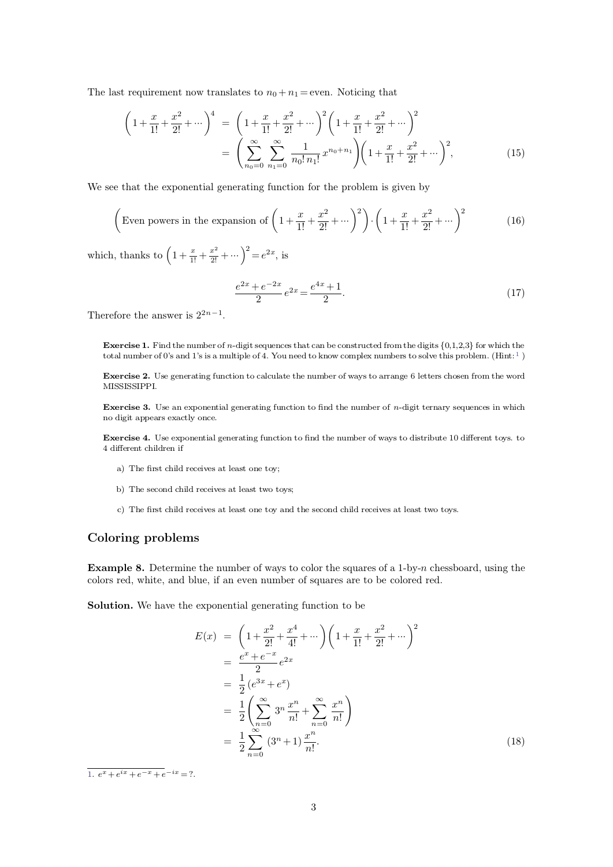The last requirement now translates to  $n_0 + n_1 =$  even. Noticing that

The last requirement now translates to 
$$
n_0 + n_1
$$
 = even. Noticing that  
\n
$$
\left(1 + \frac{x}{1!} + \frac{x^2}{2!} + \cdots\right)^4 = \left(1 + \frac{x}{1!} + \frac{x^2}{2!} + \cdots\right)^2 \left(1 + \frac{x}{1!} + \frac{x^2}{2!} + \cdots\right)^2
$$
\n
$$
= \left(\sum_{n_0=0}^{\infty} \sum_{n_1=0}^{\infty} \frac{1}{n_0! n_1!} x^{n_0 + n_1} \right) \left(1 + \frac{x}{1!} + \frac{x^2}{2!} + \cdots\right)^2,
$$
\n(15)  
\nWe see that the exponential generating function for the problem is given by

We see that the exponential generating function for the problem is given by  
\n
$$
\left(\frac{x}{n_0=0} \frac{n_1!}{n_1!} \frac{n_0! n_1!}{n_1!} \cdots \frac{n_0! n_1!}{n_0! n_1!} \cdots \frac{n_0! n_1!}{n_0! n_1!} \cdots \frac{n_0!}{n_0! n_1!} \cdots \frac{n_0!}{n_0! n_1!} \cdots \frac{n_0!}{n_0! n_1!} \cdots \frac{n_0!}{n_0! n_1!} \cdots \frac{n_0!}{n_0! n_1!} \cdots \frac{n_0!}{n_0! n_1!} \cdots \frac{n_0!}{n_0! n_1!} \cdots \frac{n_0!}{n_0! n_1!} \cdots \frac{n_0!}{n_0! n_1!} \cdots \frac{n_0!}{n_0! n_1!} \cdots \frac{n_0!}{n_0! n_1!} \cdots \frac{n_0!}{n_0! n_1!} \cdots \frac{n_0!}{n_0! n_1!} \cdots \frac{n_0!}{n_0! n_1!} \cdots \frac{n_0!}{n_0! n_1!} \cdots \frac{n_0!}{n_0! n_1!} \cdots \frac{n_0!}{n_0! n_1!} \cdots \frac{n_0!}{n_0! n_1!} \cdots \frac{n_0!}{n_0! n_1!} \cdots \frac{n_0!}{n_0! n_1!} \cdots \frac{n_0!}{n_0! n_1!} \cdots \frac{n_0!}{n_0! n_0!} \cdots \frac{n_0!}{n_0! n_0!} \cdots \frac{n_0!}{n_0! n_0!} \cdots \frac{n_0!}{n_0! n_0!} \cdots \frac{n_0!}{n_0! n_0!} \cdots \frac{n_0!}{n_0! n_0!} \cdots \frac{n_0!}{n_0! n_0!} \cdots \frac{n_0!}{n_0!} \cdots \frac{n_0!}{n_0!} \cdots \frac{n_0!}{n_0!} \cdots \frac{n_0!}{n_0!} \cdots \frac{n_0!}{n_0!} \cdots \frac{n_0!}{n_0!} \cdots \frac{n_0!}{n_0!} \cdots \frac{n_0!}{n_0!} \cdots \frac{n
$$

which, thanks to  $\left(1 + \frac{x}{1!} + \frac{x^2}{2!} + \cdots \right)^2 = e^{2x}$ , is<br>  $\frac{e^{2x} + e^{-2x}}{2}e^{2x} = \frac{e^x}{2}$ <br>
Therefore the answer is  $2^{2n-1}$ .

<span id="page-2-0"></span>
$$
(1! \t2! \t) / (1! \t2! \t) \n\cdots)^{2} = e^{2x}, \text{ is}
$$
\n
$$
\frac{e^{2x} + e^{-2x}}{2} e^{2x} = \frac{e^{4x} + 1}{2}.
$$
\n(17)

 $2n - 1$ .

**Exercise 1.** Find the number of *n*-digit sequences that can be constructed from the digits  $\{0,1,2,3\}$  for which the total number of 0's and 1's is a multiple of 4. You need to know complex numbers to solve this probl the answer is  $2^{2n-1}$ .<br> **Exercise 1.** Find the number of *n*-digit sequences that can be constructed from the digits  $\{0,1,2,3\}$  for which the total number of 0's and 1's is a multiple of 4. You need to know complex n

**Exercise 1.** Find the number of *n*-digit sequences that can be constructed from the digits  $\{0,1,2,3\}$  for which the total number of 0's and 1's is a multiple of 4. You need to know complex numbers to solve this probl MISSISSIPPI. **Exercise 2.** Use generating function to calculate the number of ways to arrange 6 letters chosen from the word MISSISSIPPI.<br>**Exercise 3.** Use an exponential generating function to find the number of *n*-digit ternary sequ **Exercise 2.** Use generating function<br>MISSISSIPPI.<br>**Exercise 3.** Use an exponential gono digit appears exactly once.

Exercise 3. Use an exponential generating function<br>no digit appears exactly once.<br>Exercise 4. Use exponential generating function to<br>4 different children if<br>a) The first child receives at least one toy;

**Exercise 3.** Use an exponential generating function to find the number of *n*-digit ternary sequences in which no digit appears exactly once.<br>**Exercise 4.** Use exponential generating function to find the number of ways to % The second child receives at least one toy; c) The second child receives at least two toys; c) The first child receives at least one toy and the second child receives at least two toys.

- 
- 
- 

## a) The first child receives at lea<br>
b) The second child receives at<br>
c) The first child receives at lea<br> **Coloring problems**

**Example 8.** Determine the number of ways to color the squares of a <sup>1</sup>-by-*<sup>n</sup>* chessboard, using the **Coloring problems**<br>**Example 8.** Determine the number of ways to color the squares of a 1-by-*n* chessboa colors red, white, and blue, if an even number of squares are to be colored red. **Example 8.** Determine the number of ways to color the squares of a colors red, white, and blue, if an even number of squares are to be considered. Solution. We have the exponential generating function to be colors red, white, and blue, if an even number of squares are to be colored red.

**Solution.** We have the exponential generating function to be

$$
E(x) = \left(1 + \frac{x^2}{2!} + \frac{x^4}{4!} + \cdots\right) \left(1 + \frac{x}{1!} + \frac{x^2}{2!} + \cdots\right)^2
$$
  
\n
$$
= \frac{e^x + e^{-x}}{2} e^{2x}
$$
  
\n
$$
= \frac{1}{2} (e^{3x} + e^x)
$$
  
\n
$$
= \frac{1}{2} \left(\sum_{n=0}^{\infty} 3^n \frac{x^n}{n!} + \sum_{n=0}^{\infty} \frac{x^n}{n!}\right)
$$
  
\n
$$
= \frac{1}{2} \sum_{n=0}^{\infty} (3^n + 1) \frac{x^n}{n!}.
$$
  
\n
$$
\frac{a}{1} e^{-x} + e^{-x} + e^{-ix} = ?.
$$
  
\n(18)

[1.](#page-2-0)  $e^x + e^{ix} + e^{-x} + e^{-x}$